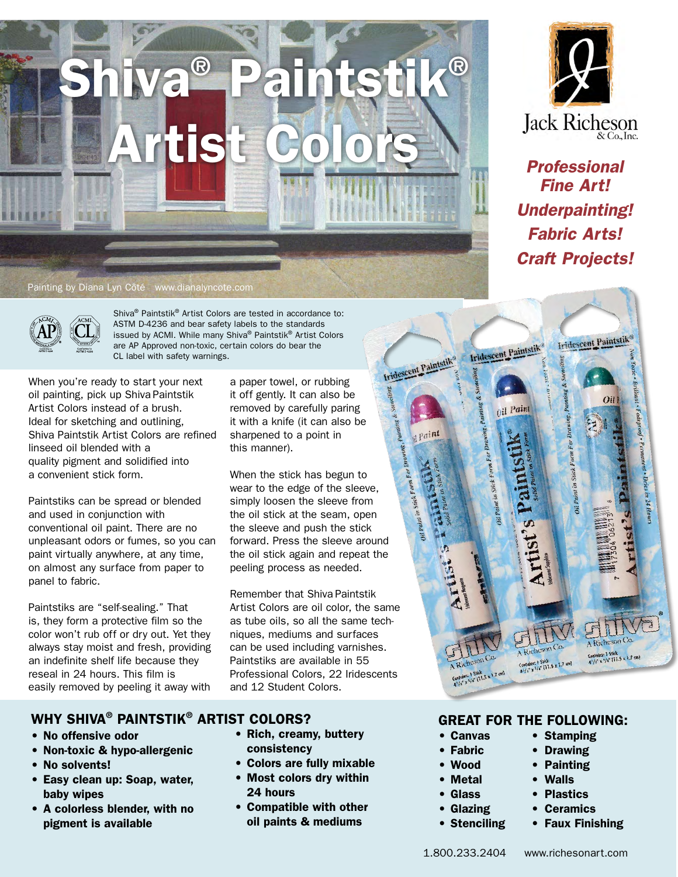

#### Painting by Diana Lyn Côté www.dianalyncote.com



Shiva® Paintstik® Artist Colors are tested in accordance to: ASTM D-4236 and bear safety labels to the standards issued by ACMI. While many Shiva® Paintstik® Artist Colors are AP Approved non-toxic, certain colors do bear the CL label with safety warnings.

When you're ready to start your next oil painting, pick up Shiva Paintstik Artist Colors instead of a brush. Ideal for sketching and outlining, Shiva Paintstik Artist Colors are refined linseed oil blended with a quality pigment and solidified into a convenient stick form.

Paintstiks can be spread or blended and used in conjunction with conventional oil paint. There are no unpleasant odors or fumes, so you can paint virtually anywhere, at any time, on almost any surface from paper to panel to fabric.

Paintstiks are "self-sealing." That is, they form a protective film so the color won't rub off or dry out. Yet they always stay moist and fresh, providing an indefinite shelf life because they reseal in 24 hours. This film is easily removed by peeling it away with

WHY SHIVA® PAINTSTIK® ARTIST COLORS?

- No offensive odor
- Non-toxic & hypo-allergenic
- No solvents!
- Easy clean up: Soap, water, baby wipes
- A colorless blender, with no pigment is available

a paper towel, or rubbing it off gently. It can also be removed by carefully paring it with a knife (it can also be sharpened to a point in this manner).

When the stick has begun to wear to the edge of the sleeve, simply loosen the sleeve from the oil stick at the seam, open the sleeve and push the stick forward. Press the sleeve around the oil stick again and repeat the peeling process as needed.

Remember that Shiva Paintstik Artist Colors are oil color, the same as tube oils, so all the same techniques, mediums and surfaces can be used including varnishes. Paintstiks are available in 55 Professional Colors, 22 Iridescents and 12 Student Colors.

• Rich, creamy, buttery

• Colors are fully mixable • Most colors dry within

• Compatible with other oil paints & mediums

consistency

24 hours

## GREAT FOR THE FOLLOWING:

- Canvas Stamping
- 
- 
- Metal Walls
- 
- 
- 
- Fabric Drawing

: 1 Stick

- Wood Painting
	-

Contains: 1 Stick<br>Contains: 1 Stick<br>5/6" (11.5 x 1.7 cm)

- Glass Plastics
- Glazing Ceramics
- Stenciling Faux Finishing

*Craft Projects!***Iridescent Paintstil** Iridescent Paintstik

Oil Paint

Iridescent Paintstik®

Paint

*Professional Fine Art!*

Jack Richeson

*Underpainting!*

*Fabric Arts!*

1.800.233.2404 www.richesonart.com